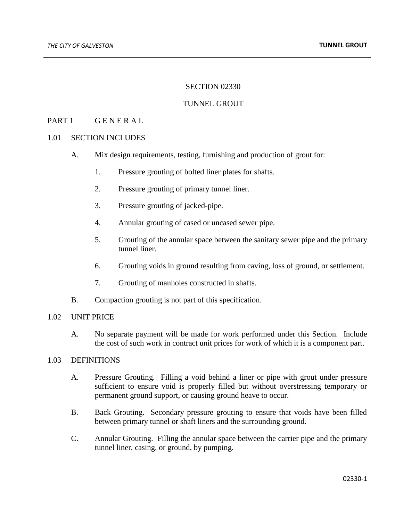### SECTION 02330

### TUNNEL GROUT

# PART 1 GENERAL

#### 1.01 SECTION INCLUDES

- A. Mix design requirements, testing, furnishing and production of grout for:
	- 1. Pressure grouting of bolted liner plates for shafts.
	- 2. Pressure grouting of primary tunnel liner.
	- 3. Pressure grouting of jacked-pipe.
	- 4. Annular grouting of cased or uncased sewer pipe.
	- 5. Grouting of the annular space between the sanitary sewer pipe and the primary tunnel liner.
	- 6. Grouting voids in ground resulting from caving, loss of ground, or settlement.
	- 7. Grouting of manholes constructed in shafts.
- B. Compaction grouting is not part of this specification.

#### 1.02 UNIT PRICE

A. No separate payment will be made for work performed under this Section. Include the cost of such work in contract unit prices for work of which it is a component part.

#### 1.03 DEFINITIONS

- A. Pressure Grouting. Filling a void behind a liner or pipe with grout under pressure sufficient to ensure void is properly filled but without overstressing temporary or permanent ground support, or causing ground heave to occur.
- B. Back Grouting. Secondary pressure grouting to ensure that voids have been filled between primary tunnel or shaft liners and the surrounding ground.
- C. Annular Grouting. Filling the annular space between the carrier pipe and the primary tunnel liner, casing, or ground, by pumping.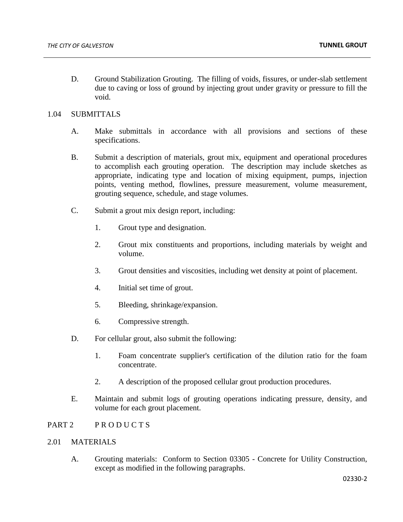D. Ground Stabilization Grouting. The filling of voids, fissures, or under-slab settlement due to caving or loss of ground by injecting grout under gravity or pressure to fill the void.

## 1.04 SUBMITTALS

- A. Make submittals in accordance with all provisions and sections of these specifications.
- B. Submit a description of materials, grout mix, equipment and operational procedures to accomplish each grouting operation. The description may include sketches as appropriate, indicating type and location of mixing equipment, pumps, injection points, venting method, flowlines, pressure measurement, volume measurement, grouting sequence, schedule, and stage volumes.
- C. Submit a grout mix design report, including:
	- 1. Grout type and designation.
	- 2. Grout mix constituents and proportions, including materials by weight and volume.
	- 3. Grout densities and viscosities, including wet density at point of placement.
	- 4. Initial set time of grout.
	- 5. Bleeding, shrinkage/expansion.
	- 6. Compressive strength.
- D. For cellular grout, also submit the following:
	- 1. Foam concentrate supplier's certification of the dilution ratio for the foam concentrate.
	- 2. A description of the proposed cellular grout production procedures.
- E. Maintain and submit logs of grouting operations indicating pressure, density, and volume for each grout placement.

# PART 2 PRODUCTS

# 2.01 MATERIALS

A. Grouting materials: Conform to Section 03305 - Concrete for Utility Construction, except as modified in the following paragraphs.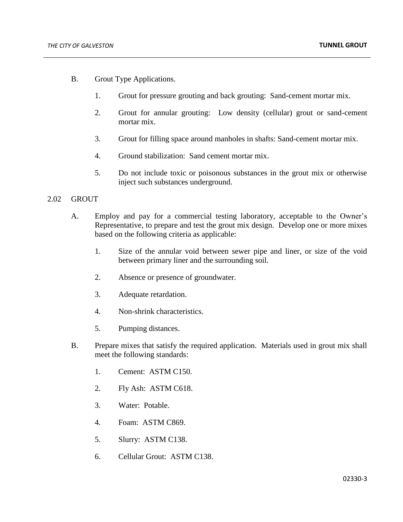- B. Grout Type Applications.
	- 1. Grout for pressure grouting and back grouting: Sand-cement mortar mix.
	- 2. Grout for annular grouting: Low density (cellular) grout or sand-cement mortar mix.
	- 3. Grout for filling space around manholes in shafts: Sand-cement mortar mix.
	- 4. Ground stabilization: Sand cement mortar mix.
	- 5. Do not include toxic or poisonous substances in the grout mix or otherwise inject such substances underground.

#### 2.02 GROUT

- A. Employ and pay for a commercial testing laboratory, acceptable to the Owner's Representative, to prepare and test the grout mix design. Develop one or more mixes based on the following criteria as applicable:
	- 1. Size of the annular void between sewer pipe and liner, or size of the void between primary liner and the surrounding soil.
	- 2. Absence or presence of groundwater.
	- 3. Adequate retardation.
	- 4. Non-shrink characteristics.
	- 5. Pumping distances.
- B. Prepare mixes that satisfy the required application. Materials used in grout mix shall meet the following standards:
	- 1. Cement: ASTM C150.
	- 2. Fly Ash: ASTM C618.
	- 3. Water: Potable.
	- 4. Foam: ASTM C869.
	- 5. Slurry: ASTM C138.
	- 6. Cellular Grout: ASTM C138.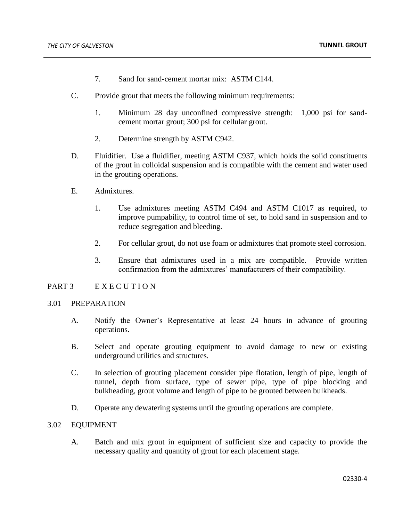- 7. Sand for sand-cement mortar mix: ASTM C144.
- C. Provide grout that meets the following minimum requirements:
	- 1. Minimum 28 day unconfined compressive strength: 1,000 psi for sandcement mortar grout; 300 psi for cellular grout.
	- 2. Determine strength by ASTM C942.
- D. Fluidifier. Use a fluidifier, meeting ASTM C937, which holds the solid constituents of the grout in colloidal suspension and is compatible with the cement and water used in the grouting operations.
- E. Admixtures.
	- 1. Use admixtures meeting ASTM C494 and ASTM C1017 as required, to improve pumpability, to control time of set, to hold sand in suspension and to reduce segregation and bleeding.
	- 2. For cellular grout, do not use foam or admixtures that promote steel corrosion.
	- 3. Ensure that admixtures used in a mix are compatible. Provide written confirmation from the admixtures' manufacturers of their compatibility.

## PART 3 EXECUTION

#### 3.01 PREPARATION

- A. Notify the Owner's Representative at least 24 hours in advance of grouting operations.
- B. Select and operate grouting equipment to avoid damage to new or existing underground utilities and structures.
- C. In selection of grouting placement consider pipe flotation, length of pipe, length of tunnel, depth from surface, type of sewer pipe, type of pipe blocking and bulkheading, grout volume and length of pipe to be grouted between bulkheads.
- D. Operate any dewatering systems until the grouting operations are complete.

#### 3.02 EQUIPMENT

A. Batch and mix grout in equipment of sufficient size and capacity to provide the necessary quality and quantity of grout for each placement stage.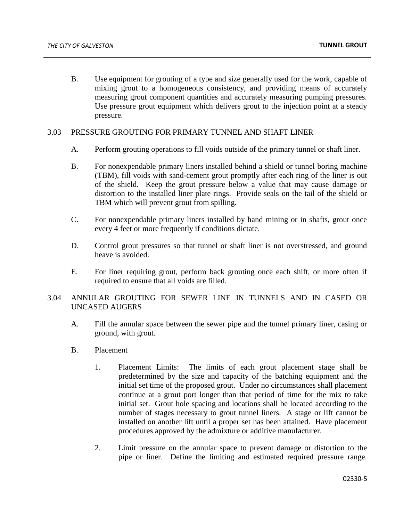B. Use equipment for grouting of a type and size generally used for the work, capable of mixing grout to a homogeneous consistency, and providing means of accurately measuring grout component quantities and accurately measuring pumping pressures. Use pressure grout equipment which delivers grout to the injection point at a steady pressure.

### 3.03 PRESSURE GROUTING FOR PRIMARY TUNNEL AND SHAFT LINER

- A. Perform grouting operations to fill voids outside of the primary tunnel or shaft liner.
- B. For nonexpendable primary liners installed behind a shield or tunnel boring machine (TBM), fill voids with sand-cement grout promptly after each ring of the liner is out of the shield. Keep the grout pressure below a value that may cause damage or distortion to the installed liner plate rings. Provide seals on the tail of the shield or TBM which will prevent grout from spilling.
- C. For nonexpendable primary liners installed by hand mining or in shafts, grout once every 4 feet or more frequently if conditions dictate.
- D. Control grout pressures so that tunnel or shaft liner is not overstressed, and ground heave is avoided.
- E. For liner requiring grout, perform back grouting once each shift, or more often if required to ensure that all voids are filled.

# 3.04 ANNULAR GROUTING FOR SEWER LINE IN TUNNELS AND IN CASED OR UNCASED AUGERS

- A. Fill the annular space between the sewer pipe and the tunnel primary liner, casing or ground, with grout.
- B. Placement
	- 1. Placement Limits: The limits of each grout placement stage shall be predetermined by the size and capacity of the batching equipment and the initial set time of the proposed grout. Under no circumstances shall placement continue at a grout port longer than that period of time for the mix to take initial set. Grout hole spacing and locations shall be located according to the number of stages necessary to grout tunnel liners. A stage or lift cannot be installed on another lift until a proper set has been attained. Have placement procedures approved by the admixture or additive manufacturer.
	- 2. Limit pressure on the annular space to prevent damage or distortion to the pipe or liner. Define the limiting and estimated required pressure range.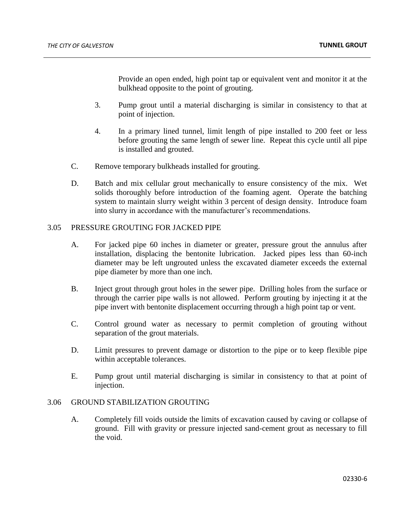Provide an open ended, high point tap or equivalent vent and monitor it at the bulkhead opposite to the point of grouting.

- 3. Pump grout until a material discharging is similar in consistency to that at point of injection.
- 4. In a primary lined tunnel, limit length of pipe installed to 200 feet or less before grouting the same length of sewer line. Repeat this cycle until all pipe is installed and grouted.
- C. Remove temporary bulkheads installed for grouting.
- D. Batch and mix cellular grout mechanically to ensure consistency of the mix. Wet solids thoroughly before introduction of the foaming agent. Operate the batching system to maintain slurry weight within 3 percent of design density. Introduce foam into slurry in accordance with the manufacturer's recommendations.

#### 3.05 PRESSURE GROUTING FOR JACKED PIPE

- A. For jacked pipe 60 inches in diameter or greater, pressure grout the annulus after installation, displacing the bentonite lubrication. Jacked pipes less than 60-inch diameter may be left ungrouted unless the excavated diameter exceeds the external pipe diameter by more than one inch.
- B. Inject grout through grout holes in the sewer pipe. Drilling holes from the surface or through the carrier pipe walls is not allowed. Perform grouting by injecting it at the pipe invert with bentonite displacement occurring through a high point tap or vent.
- C. Control ground water as necessary to permit completion of grouting without separation of the grout materials.
- D. Limit pressures to prevent damage or distortion to the pipe or to keep flexible pipe within acceptable tolerances.
- E. Pump grout until material discharging is similar in consistency to that at point of injection.

# 3.06 GROUND STABILIZATION GROUTING

A. Completely fill voids outside the limits of excavation caused by caving or collapse of ground. Fill with gravity or pressure injected sand-cement grout as necessary to fill the void.